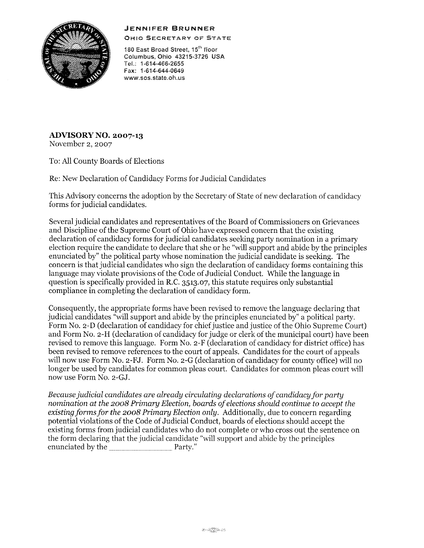## **.JENNIFER BRUNNER**



OHIO SECRETARY OF STATE

180 East Broad Street, 15<sup>th</sup> floor Columbus, Ohio 43215-3726 USA Tel.: 1-614-466-2655 Fax: 1-614-644-0649 **www.sos.state.oh.us** 

**ADVISORY NO. 2007-13**  November 2, 2007

To: All County Boards of Elections

Re: New Declaration of Candidacy Forms for Judicial Candidates

This Advisory concerns the adoption by the Secretary of State of new declaration of candidacy forms for judicial candidates,

Several judicial candidates and representatives of the Board of Commissioners on Grievances and Discipline of the Supreme Court of Ohio have expressed concern that the existing declaration of candidacy forms for judicial candidates seeking party nomination in a primary election require the candidate to declare that she or he "will support and abide by the principles enunciated by" the political party whose nomination the judicial candidate is seeking, The concern is that judicial candidates who sign the declaration of candidacy forms containing this language may violate provisions of the Code of Judicial Conduct, While the language in question is specifically provided in R,C, 3513,07, this statute requires only substantial compliance in completing the declaration of candidacy form,

Consequently, the appropriate forms have been revised to remove the language declaring that judicial candidates "will support and abide by the principles enunciated by" a political party, Form No, 2-D (declaration of candidacy for chief justice and justice of the Ohio Supreme Court) and Form No. 2-H (declaration of candidacy for judge or clerk of the municipal court) have been revised to remove this language, Form No, 2-F (declaration of candidacy for district office) has been revised to remove references to the court of appeals, Candidates for the court of appeals will now use Form No, 2-FJ, Form No, 2-G (declaration of candidacy for county office) will no longer be used by candidates for common pleas court, Candidates for common pleas court will now use Form No, 2-GJ,

*Because judicial candidates are already circulating declarations* of*candidacy for party nomination at the 2008 Primary Election, boards ofelections should continue to accept the existing forms for the 2008 Primary Election only,* Additionally, due to concern regarding potential violations of the Code of Judicial Conduct, boards of elections should accept the existing forms from judicial candidates who do not complete or who cross out the sentence on the form declaring that the judicial candidate "will support and abide by the principles enunciated by the  $\mathbb P$